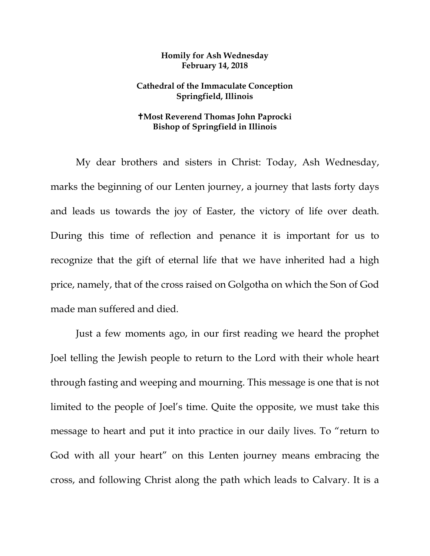## **Homily for Ash Wednesday February 14, 2018**

## **Cathedral of the Immaculate Conception Springfield, Illinois**

## **Most Reverend Thomas John Paprocki Bishop of Springfield in Illinois**

My dear brothers and sisters in Christ: Today, Ash Wednesday, marks the beginning of our Lenten journey, a journey that lasts forty days and leads us towards the joy of Easter, the victory of life over death. During this time of reflection and penance it is important for us to recognize that the gift of eternal life that we have inherited had a high price, namely, that of the cross raised on Golgotha on which the Son of God made man suffered and died.

Just a few moments ago, in our first reading we heard the prophet Joel telling the Jewish people to return to the Lord with their whole heart through fasting and weeping and mourning. This message is one that is not limited to the people of Joel's time. Quite the opposite, we must take this message to heart and put it into practice in our daily lives. To "return to God with all your heart" on this Lenten journey means embracing the cross, and following Christ along the path which leads to Calvary. It is a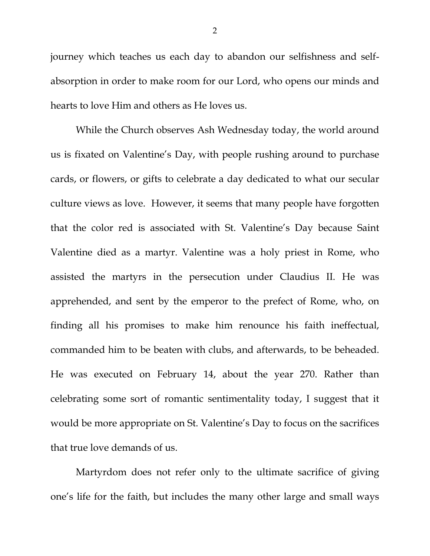journey which teaches us each day to abandon our selfishness and selfabsorption in order to make room for our Lord, who opens our minds and hearts to love Him and others as He loves us.

While the Church observes Ash Wednesday today, the world around us is fixated on Valentine's Day, with people rushing around to purchase cards, or flowers, or gifts to celebrate a day dedicated to what our secular culture views as love. However, it seems that many people have forgotten that the color red is associated with St. Valentine's Day because Saint Valentine died as a martyr. Valentine was a holy priest in Rome, who assisted the martyrs in the persecution under Claudius II. He was apprehended, and sent by the emperor to the prefect of Rome, who, on finding all his promises to make him renounce his faith ineffectual, commanded him to be beaten with clubs, and afterwards, to be beheaded. He was executed on February 14, about the year 270. Rather than celebrating some sort of romantic sentimentality today, I suggest that it would be more appropriate on St. Valentine's Day to focus on the sacrifices that true love demands of us.

Martyrdom does not refer only to the ultimate sacrifice of giving one's life for the faith, but includes the many other large and small ways